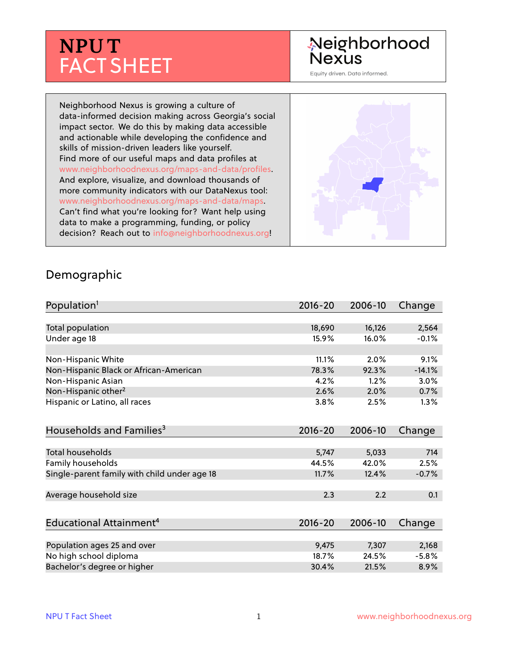# **NPU T** FACT SHEET

## Neighborhood **Nexus**

Equity driven. Data informed.

Neighborhood Nexus is growing a culture of data-informed decision making across Georgia's social impact sector. We do this by making data accessible and actionable while developing the confidence and skills of mission-driven leaders like yourself. Find more of our useful maps and data profiles at www.neighborhoodnexus.org/maps-and-data/profiles. And explore, visualize, and download thousands of more community indicators with our DataNexus tool: www.neighborhoodnexus.org/maps-and-data/maps. Can't find what you're looking for? Want help using data to make a programming, funding, or policy decision? Reach out to [info@neighborhoodnexus.org!](mailto:info@neighborhoodnexus.org)



#### Demographic

| Population <sup>1</sup>                      | $2016 - 20$ | 2006-10 | Change   |
|----------------------------------------------|-------------|---------|----------|
|                                              |             |         |          |
| Total population                             | 18,690      | 16,126  | 2,564    |
| Under age 18                                 | 15.9%       | 16.0%   | $-0.1%$  |
|                                              |             |         |          |
| Non-Hispanic White                           | 11.1%       | 2.0%    | 9.1%     |
| Non-Hispanic Black or African-American       | 78.3%       | 92.3%   | $-14.1%$ |
| Non-Hispanic Asian                           | 4.2%        | 1.2%    | 3.0%     |
| Non-Hispanic other <sup>2</sup>              | 2.6%        | 2.0%    | 0.7%     |
| Hispanic or Latino, all races                | 3.8%        | 2.5%    | 1.3%     |
| Households and Families <sup>3</sup>         | $2016 - 20$ | 2006-10 | Change   |
|                                              |             |         |          |
| <b>Total households</b>                      | 5,747       | 5,033   | 714      |
| Family households                            | 44.5%       | 42.0%   | 2.5%     |
| Single-parent family with child under age 18 | 11.7%       | 12.4%   | $-0.7%$  |
|                                              |             |         |          |
| Average household size                       | 2.3         | 2.2     | 0.1      |
|                                              |             |         |          |
| Educational Attainment <sup>4</sup>          | $2016 - 20$ | 2006-10 | Change   |
|                                              |             |         |          |
| Population ages 25 and over                  | 9,475       | 7,307   | 2,168    |
| No high school diploma                       | 18.7%       | 24.5%   | $-5.8%$  |
| Bachelor's degree or higher                  | 30.4%       | 21.5%   | 8.9%     |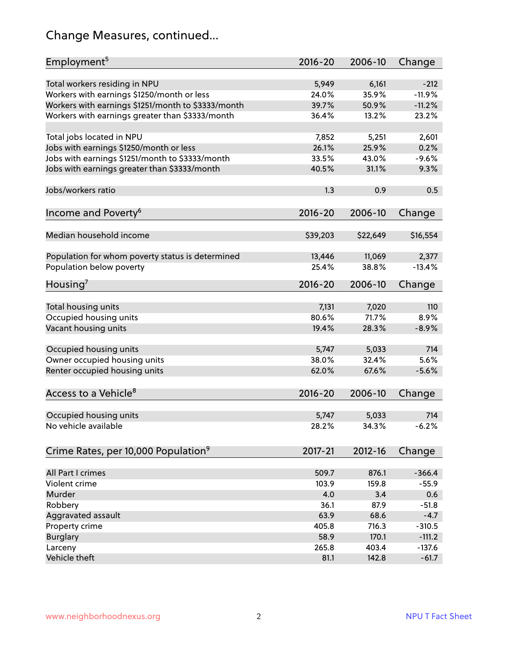## Change Measures, continued...

| Employment <sup>5</sup>                            | $2016 - 20$ | 2006-10     | Change   |
|----------------------------------------------------|-------------|-------------|----------|
|                                                    |             |             |          |
| Total workers residing in NPU                      | 5,949       | 6,161       | $-212$   |
| Workers with earnings \$1250/month or less         | 24.0%       | 35.9%       | $-11.9%$ |
| Workers with earnings \$1251/month to \$3333/month | 39.7%       | 50.9%       | $-11.2%$ |
| Workers with earnings greater than \$3333/month    | 36.4%       | 13.2%       | 23.2%    |
| Total jobs located in NPU                          | 7,852       | 5,251       | 2,601    |
| Jobs with earnings \$1250/month or less            | 26.1%       | 25.9%       | 0.2%     |
| Jobs with earnings \$1251/month to \$3333/month    | 33.5%       | 43.0%       | $-9.6%$  |
|                                                    |             |             |          |
| Jobs with earnings greater than \$3333/month       | 40.5%       | 31.1%       | 9.3%     |
| Jobs/workers ratio                                 | 1.3         | 0.9         | 0.5      |
| Income and Poverty <sup>6</sup>                    | $2016 - 20$ | 2006-10     | Change   |
|                                                    |             |             |          |
| Median household income                            | \$39,203    | \$22,649    | \$16,554 |
|                                                    |             |             |          |
| Population for whom poverty status is determined   | 13,446      | 11,069      | 2,377    |
| Population below poverty                           | 25.4%       | 38.8%       | $-13.4%$ |
| Housing <sup>7</sup>                               | 2016-20     | 2006-10     | Change   |
|                                                    |             |             |          |
| Total housing units                                | 7,131       | 7,020       | 110      |
| Occupied housing units                             | 80.6%       | 71.7%       | 8.9%     |
| Vacant housing units                               | 19.4%       | 28.3%       | $-8.9%$  |
| Occupied housing units                             | 5,747       | 5,033       | 714      |
|                                                    |             |             |          |
| Owner occupied housing units                       | 38.0%       | 32.4%       | 5.6%     |
| Renter occupied housing units                      | 62.0%       | 67.6%       | $-5.6%$  |
| Access to a Vehicle <sup>8</sup>                   | $2016 - 20$ | 2006-10     | Change   |
|                                                    |             |             |          |
| Occupied housing units                             | 5,747       | 5,033       | 714      |
| No vehicle available                               | 28.2%       | 34.3%       | $-6.2%$  |
|                                                    |             |             |          |
| Crime Rates, per 10,000 Population <sup>9</sup>    | 2017-21     | $2012 - 16$ | Change   |
|                                                    |             |             |          |
| All Part I crimes                                  | 509.7       | 876.1       | $-366.4$ |
| Violent crime                                      | 103.9       | 159.8       | $-55.9$  |
| Murder                                             | 4.0         | 3.4         | 0.6      |
| Robbery                                            | 36.1        | 87.9        | $-51.8$  |
| Aggravated assault                                 | 63.9        | 68.6        | $-4.7$   |
| Property crime                                     | 405.8       | 716.3       | $-310.5$ |
| <b>Burglary</b>                                    | 58.9        | 170.1       | $-111.2$ |
| Larceny                                            | 265.8       | 403.4       | $-137.6$ |
| Vehicle theft                                      | 81.1        | 142.8       | $-61.7$  |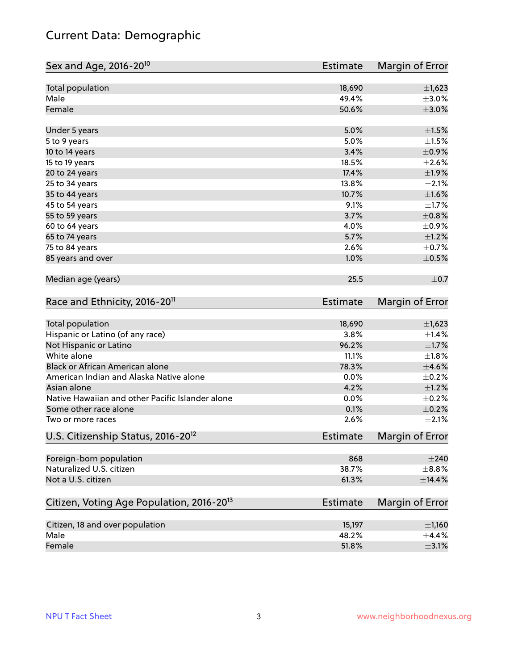## Current Data: Demographic

| Sex and Age, 2016-20 <sup>10</sup>                    | Estimate        | Margin of Error |
|-------------------------------------------------------|-----------------|-----------------|
| Total population                                      | 18,690          | $\pm$ 1,623     |
| Male                                                  | 49.4%           | $\pm 3.0\%$     |
| Female                                                | 50.6%           | $\pm 3.0\%$     |
| Under 5 years                                         | 5.0%            | $\pm 1.5\%$     |
| 5 to 9 years                                          | 5.0%            | $\pm1.5\%$      |
| 10 to 14 years                                        | 3.4%            | $\pm$ 0.9%      |
| 15 to 19 years                                        | 18.5%           | $\pm 2.6\%$     |
| 20 to 24 years                                        | 17.4%           | ±1.9%           |
| 25 to 34 years                                        | 13.8%           | $\pm 2.1\%$     |
| 35 to 44 years                                        | 10.7%           | ±1.6%           |
| 45 to 54 years                                        | 9.1%            | $\pm 1.7\%$     |
| 55 to 59 years                                        | 3.7%            | $\pm$ 0.8%      |
| 60 to 64 years                                        | 4.0%            | $\pm$ 0.9%      |
| 65 to 74 years                                        | 5.7%            | $\pm 1.2\%$     |
| 75 to 84 years                                        | 2.6%            | $\pm$ 0.7%      |
| 85 years and over                                     | 1.0%            | $\pm$ 0.5%      |
| Median age (years)                                    | 25.5            | $\pm$ 0.7       |
| Race and Ethnicity, 2016-20 <sup>11</sup>             | <b>Estimate</b> | Margin of Error |
| Total population                                      | 18,690          | $\pm$ 1,623     |
| Hispanic or Latino (of any race)                      | 3.8%            | ±1.4%           |
| Not Hispanic or Latino                                | 96.2%           | $\pm1.7\%$      |
| White alone                                           | 11.1%           | $\pm1.8\%$      |
| Black or African American alone                       | 78.3%           | $\pm$ 4.6%      |
| American Indian and Alaska Native alone               | 0.0%            | $\pm$ 0.2%      |
| Asian alone                                           | 4.2%            | $\pm 1.2\%$     |
| Native Hawaiian and other Pacific Islander alone      | 0.0%            | $\pm$ 0.2%      |
| Some other race alone                                 | 0.1%            | $\pm$ 0.2%      |
| Two or more races                                     | 2.6%            | $\pm 2.1\%$     |
| U.S. Citizenship Status, 2016-20 <sup>12</sup>        | Estimate        | Margin of Error |
| Foreign-born population                               | 868             | $\pm 240$       |
| Naturalized U.S. citizen                              | 38.7%           | $\pm$ 8.8%      |
| Not a U.S. citizen                                    | 61.3%           | ±14.4%          |
| Citizen, Voting Age Population, 2016-20 <sup>13</sup> | Estimate        | Margin of Error |
| Citizen, 18 and over population                       | 15,197          | ±1,160          |
| Male                                                  | 48.2%           | $\pm$ 4.4%      |
| Female                                                | 51.8%           | $\pm$ 3.1%      |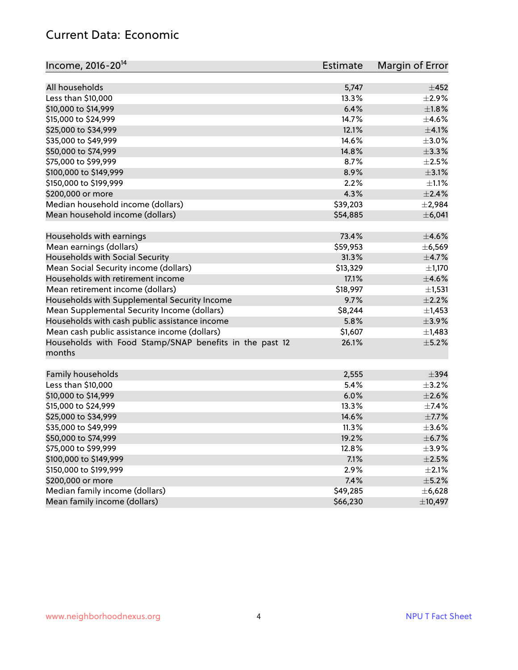#### Current Data: Economic

| Income, 2016-20 <sup>14</sup>                           | <b>Estimate</b> | Margin of Error |
|---------------------------------------------------------|-----------------|-----------------|
| All households                                          | 5,747           | $\pm 452$       |
| Less than \$10,000                                      | 13.3%           | $\pm 2.9\%$     |
| \$10,000 to \$14,999                                    | 6.4%            | ±1.8%           |
| \$15,000 to \$24,999                                    | 14.7%           | $\pm$ 4.6%      |
| \$25,000 to \$34,999                                    | 12.1%           | $\pm$ 4.1%      |
| \$35,000 to \$49,999                                    | 14.6%           | $\pm 3.0\%$     |
| \$50,000 to \$74,999                                    | 14.8%           | $\pm$ 3.3%      |
| \$75,000 to \$99,999                                    | 8.7%            | $\pm 2.5\%$     |
| \$100,000 to \$149,999                                  | 8.9%            | $\pm$ 3.1%      |
| \$150,000 to \$199,999                                  | 2.2%            | $\pm 1.1\%$     |
| \$200,000 or more                                       | 4.3%            | $\pm 2.4\%$     |
| Median household income (dollars)                       | \$39,203        | ±2,984          |
| Mean household income (dollars)                         | \$54,885        | ±6,041          |
| Households with earnings                                | 73.4%           | $\pm 4.6\%$     |
| Mean earnings (dollars)                                 | \$59,953        | ± 6,569         |
| Households with Social Security                         | 31.3%           | $\pm$ 4.7%      |
| Mean Social Security income (dollars)                   | \$13,329        | $\pm$ 1,170     |
| Households with retirement income                       | 17.1%           | $\pm$ 4.6%      |
| Mean retirement income (dollars)                        | \$18,997        | ±1,531          |
| Households with Supplemental Security Income            | 9.7%            | $\pm 2.2\%$     |
| Mean Supplemental Security Income (dollars)             | \$8,244         | $\pm$ 1,453     |
| Households with cash public assistance income           | 5.8%            | $\pm$ 3.9%      |
| Mean cash public assistance income (dollars)            | \$1,607         | $\pm$ 1,483     |
| Households with Food Stamp/SNAP benefits in the past 12 | 26.1%           | $\pm$ 5.2%      |
| months                                                  |                 |                 |
| Family households                                       | 2,555           | $\pm$ 394       |
| Less than \$10,000                                      | 5.4%            | $\pm$ 3.2%      |
| \$10,000 to \$14,999                                    | 6.0%            | $\pm 2.6\%$     |
| \$15,000 to \$24,999                                    | 13.3%           | $\pm$ 7.4%      |
| \$25,000 to \$34,999                                    | 14.6%           | $\pm$ 7.7%      |
| \$35,000 to \$49,999                                    | 11.3%           | $\pm 3.6\%$     |
| \$50,000 to \$74,999                                    | 19.2%           | $\pm$ 6.7%      |
| \$75,000 to \$99,999                                    | 12.8%           | $\pm$ 3.9%      |
| \$100,000 to \$149,999                                  | 7.1%            | $\pm 2.5\%$     |
| \$150,000 to \$199,999                                  | 2.9%            | $\pm 2.1\%$     |
| \$200,000 or more                                       | 7.4%            | $\pm$ 5.2%      |
| Median family income (dollars)                          | \$49,285        | ±6,628          |
| Mean family income (dollars)                            | \$66,230        | ±10,497         |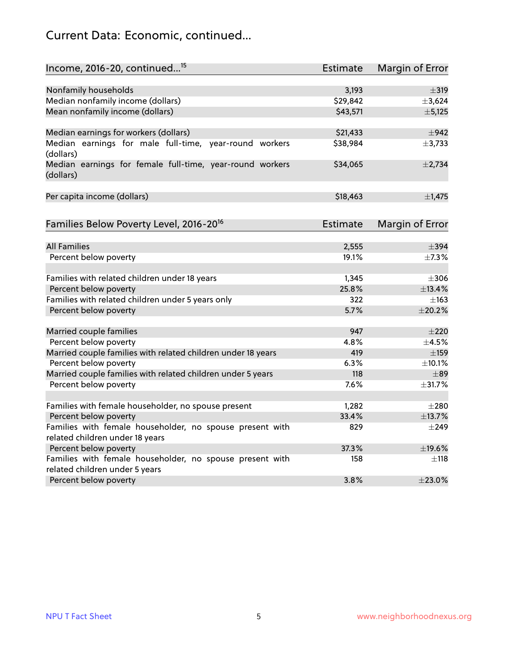## Current Data: Economic, continued...

| Income, 2016-20, continued <sup>15</sup>                                                   | <b>Estimate</b>   | Margin of Error        |
|--------------------------------------------------------------------------------------------|-------------------|------------------------|
|                                                                                            |                   |                        |
| Nonfamily households                                                                       | 3,193<br>\$29,842 | $\pm$ 319              |
| Median nonfamily income (dollars)                                                          |                   | ±3,624                 |
| Mean nonfamily income (dollars)                                                            | \$43,571          | ±5,125                 |
| Median earnings for workers (dollars)                                                      | \$21,433          | $\pm$ 942              |
| Median earnings for male full-time, year-round workers<br>(dollars)                        | \$38,984          | $\pm$ 3,733            |
| Median earnings for female full-time, year-round workers<br>(dollars)                      | \$34,065          | $\pm$ 2,734            |
| Per capita income (dollars)                                                                | \$18,463          | $\pm$ 1,475            |
| Families Below Poverty Level, 2016-20 <sup>16</sup>                                        | Estimate          | <b>Margin of Error</b> |
|                                                                                            |                   |                        |
| <b>All Families</b>                                                                        | 2,555             | $\pm$ 394              |
| Percent below poverty                                                                      | 19.1%             | $\pm 7.3\%$            |
| Families with related children under 18 years                                              | 1,345             | $\pm$ 306              |
| Percent below poverty                                                                      | 25.8%             | ±13.4%                 |
| Families with related children under 5 years only                                          | 322               | $\pm$ 163              |
| Percent below poverty                                                                      | 5.7%              | ±20.2%                 |
| Married couple families                                                                    | 947               | $\pm 220$              |
| Percent below poverty                                                                      | 4.8%              | $\pm$ 4.5%             |
| Married couple families with related children under 18 years                               | 419               | $\pm$ 159              |
| Percent below poverty                                                                      | 6.3%              | ±10.1%                 |
| Married couple families with related children under 5 years                                | 118               | $\pm$ 89               |
| Percent below poverty                                                                      | 7.6%              | ±31.7%                 |
|                                                                                            |                   |                        |
| Families with female householder, no spouse present                                        | 1,282             | $\pm 280$              |
| Percent below poverty                                                                      | 33.4%             | ±13.7%                 |
| Families with female householder, no spouse present with                                   | 829               | $\pm$ 249              |
| related children under 18 years                                                            |                   |                        |
| Percent below poverty                                                                      | 37.3%             | ±19.6%                 |
| Families with female householder, no spouse present with<br>related children under 5 years | 158               | $\pm$ 118              |
| Percent below poverty                                                                      | 3.8%              | ±23.0%                 |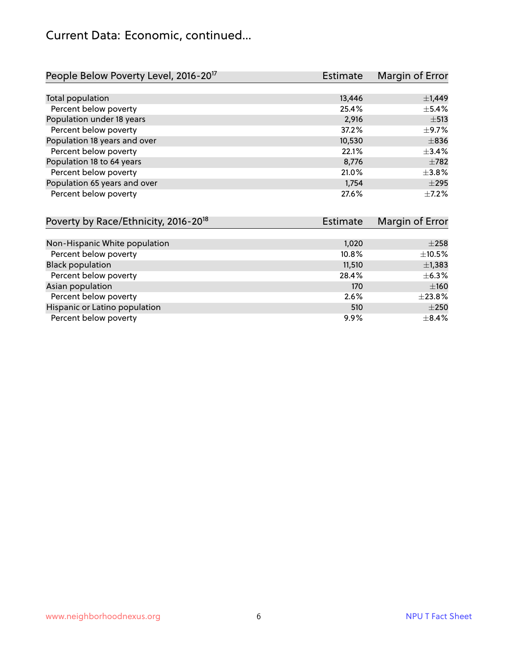## Current Data: Economic, continued...

| People Below Poverty Level, 2016-20 <sup>17</sup> | <b>Estimate</b> | Margin of Error |
|---------------------------------------------------|-----------------|-----------------|
|                                                   |                 |                 |
| Total population                                  | 13,446          | $\pm$ 1,449     |
| Percent below poverty                             | 25.4%           | $\pm$ 5.4%      |
| Population under 18 years                         | 2,916           | $\pm$ 513       |
| Percent below poverty                             | 37.2%           | $\pm$ 9.7%      |
| Population 18 years and over                      | 10,530          | $\pm$ 836       |
| Percent below poverty                             | 22.1%           | ±3.4%           |
| Population 18 to 64 years                         | 8,776           | $\pm 782$       |
| Percent below poverty                             | 21.0%           | $\pm$ 3.8%      |
| Population 65 years and over                      | 1,754           | $\pm 295$       |
| Percent below poverty                             | 27.6%           | $+7.2%$         |

| Poverty by Race/Ethnicity, 2016-20 <sup>18</sup> | <b>Estimate</b> | Margin of Error |
|--------------------------------------------------|-----------------|-----------------|
|                                                  |                 |                 |
| Non-Hispanic White population                    | 1,020           | $\pm 258$       |
| Percent below poverty                            | 10.8%           | $\pm$ 10.5%     |
| <b>Black population</b>                          | 11,510          | $\pm$ 1,383     |
| Percent below poverty                            | 28.4%           | $\pm$ 6.3%      |
| Asian population                                 | 170             | ±160            |
| Percent below poverty                            | 2.6%            | ±23.8%          |
| Hispanic or Latino population                    | 510             | $\pm 250$       |
| Percent below poverty                            | $9.9\%$         | $\pm$ 8.4%      |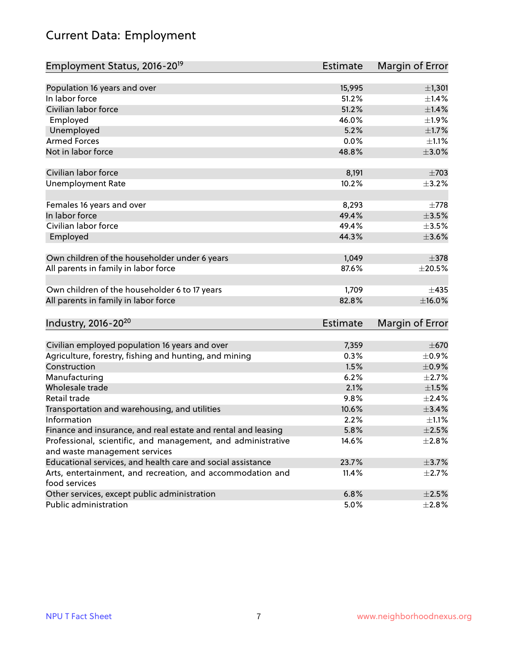## Current Data: Employment

| Employment Status, 2016-20 <sup>19</sup>                                    | <b>Estimate</b> | Margin of Error           |
|-----------------------------------------------------------------------------|-----------------|---------------------------|
|                                                                             |                 |                           |
| Population 16 years and over                                                | 15,995          | ±1,301                    |
| In labor force                                                              | 51.2%           | ±1.4%                     |
| Civilian labor force                                                        | 51.2%           | $\pm1.4\%$                |
| Employed                                                                    | 46.0%           | ±1.9%                     |
| Unemployed                                                                  | 5.2%            | $\pm 1.7\%$               |
| <b>Armed Forces</b>                                                         | 0.0%            | $\pm 1.1\%$               |
| Not in labor force                                                          | 48.8%           | $\pm 3.0\%$               |
|                                                                             |                 |                           |
| Civilian labor force                                                        | 8,191           | $\pm 703$                 |
| <b>Unemployment Rate</b>                                                    | 10.2%           | $\pm$ 3.2%                |
| Females 16 years and over                                                   | 8,293           | $\pm 778$                 |
| In labor force                                                              | 49.4%           | $\pm 3.5\%$               |
| Civilian labor force                                                        | 49.4%           | $\pm$ 3.5%                |
|                                                                             | 44.3%           | $\pm 3.6\%$               |
| Employed                                                                    |                 |                           |
| Own children of the householder under 6 years                               | 1,049           | $\pm$ 378                 |
| All parents in family in labor force                                        | 87.6%           | $\pm 20.5\%$              |
|                                                                             |                 |                           |
| Own children of the householder 6 to 17 years                               | 1,709           | $\pm 435$                 |
| All parents in family in labor force                                        | 82.8%           | $\pm$ 16.0%               |
|                                                                             |                 |                           |
| Industry, 2016-20 <sup>20</sup>                                             | Estimate        | Margin of Error           |
| Civilian employed population 16 years and over                              | 7,359           | $\pm 670$                 |
|                                                                             | 0.3%            | $\pm$ 0.9%                |
| Agriculture, forestry, fishing and hunting, and mining<br>Construction      | 1.5%            |                           |
| Manufacturing                                                               | 6.2%            | $\pm$ 0.9%<br>$\pm 2.7\%$ |
| Wholesale trade                                                             |                 |                           |
| Retail trade                                                                | 2.1%<br>9.8%    | $\pm1.5\%$<br>$\pm 2.4\%$ |
|                                                                             |                 |                           |
| Transportation and warehousing, and utilities<br>Information                | 10.6%           | ±3.4%                     |
|                                                                             | 2.2%            | $\pm 1.1\%$               |
| Finance and insurance, and real estate and rental and leasing               | 5.8%            | $\pm 2.5\%$               |
| Professional, scientific, and management, and administrative                | 14.6%           | $\pm 2.8\%$               |
| and waste management services                                               |                 | $\pm$ 3.7%                |
| Educational services, and health care and social assistance                 | 23.7%           |                           |
| Arts, entertainment, and recreation, and accommodation and<br>food services | 11.4%           | $\pm 2.7\%$               |
| Other services, except public administration                                | 6.8%            | $\pm 2.5\%$               |
| Public administration                                                       | 5.0%            | ±2.8%                     |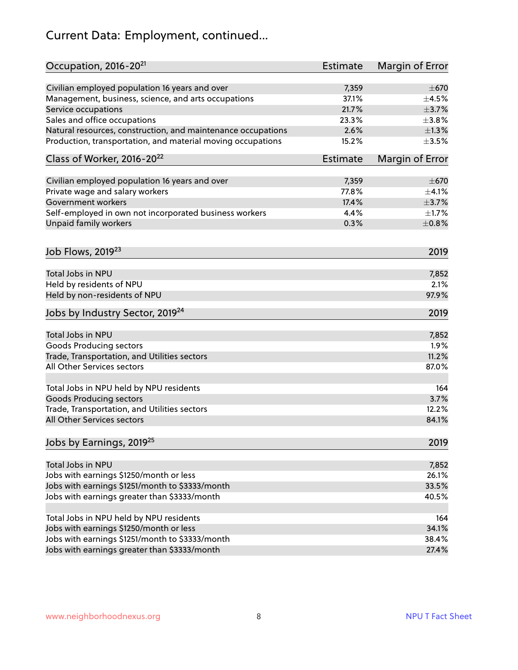## Current Data: Employment, continued...

| Occupation, 2016-20 <sup>21</sup>                            | <b>Estimate</b> | Margin of Error |
|--------------------------------------------------------------|-----------------|-----------------|
| Civilian employed population 16 years and over               | 7,359           | $\pm$ 670       |
| Management, business, science, and arts occupations          | 37.1%           | $\pm$ 4.5%      |
| Service occupations                                          | 21.7%           | $\pm$ 3.7%      |
| Sales and office occupations                                 | 23.3%           | $\pm 3.8\%$     |
| Natural resources, construction, and maintenance occupations | 2.6%            | $\pm 1.3\%$     |
| Production, transportation, and material moving occupations  | 15.2%           | $\pm$ 3.5%      |
| Class of Worker, 2016-20 <sup>22</sup>                       | <b>Estimate</b> | Margin of Error |
| Civilian employed population 16 years and over               | 7,359           | $\pm$ 670       |
| Private wage and salary workers                              | 77.8%           | $\pm$ 4.1%      |
| Government workers                                           | 17.4%           | $\pm$ 3.7%      |
| Self-employed in own not incorporated business workers       | 4.4%            | $\pm 1.7\%$     |
| Unpaid family workers                                        | 0.3%            | $\pm$ 0.8%      |
| Job Flows, 2019 <sup>23</sup>                                |                 | 2019            |
| Total Jobs in NPU                                            |                 | 7,852           |
| Held by residents of NPU                                     |                 | 2.1%            |
| Held by non-residents of NPU                                 |                 | 97.9%           |
| Jobs by Industry Sector, 2019 <sup>24</sup>                  |                 | 2019            |
| Total Jobs in NPU                                            |                 | 7,852           |
| <b>Goods Producing sectors</b>                               |                 | 1.9%            |
| Trade, Transportation, and Utilities sectors                 |                 | 11.2%           |
| All Other Services sectors                                   |                 | 87.0%           |
|                                                              |                 |                 |
| Total Jobs in NPU held by NPU residents                      |                 | 164             |
| <b>Goods Producing sectors</b>                               |                 | 3.7%            |
| Trade, Transportation, and Utilities sectors                 |                 | 12.2%           |
| All Other Services sectors                                   |                 | 84.1%           |
| Jobs by Earnings, 2019 <sup>25</sup>                         |                 | 2019            |
| Total Jobs in NPU                                            |                 | 7,852           |
| Jobs with earnings \$1250/month or less                      |                 | 26.1%           |
| Jobs with earnings \$1251/month to \$3333/month              |                 | 33.5%           |
| Jobs with earnings greater than \$3333/month                 |                 | 40.5%           |
|                                                              |                 |                 |
| Total Jobs in NPU held by NPU residents                      |                 | 164             |
| Jobs with earnings \$1250/month or less                      |                 | 34.1%           |
| Jobs with earnings \$1251/month to \$3333/month              |                 | 38.4%           |
| Jobs with earnings greater than \$3333/month                 |                 | 27.4%           |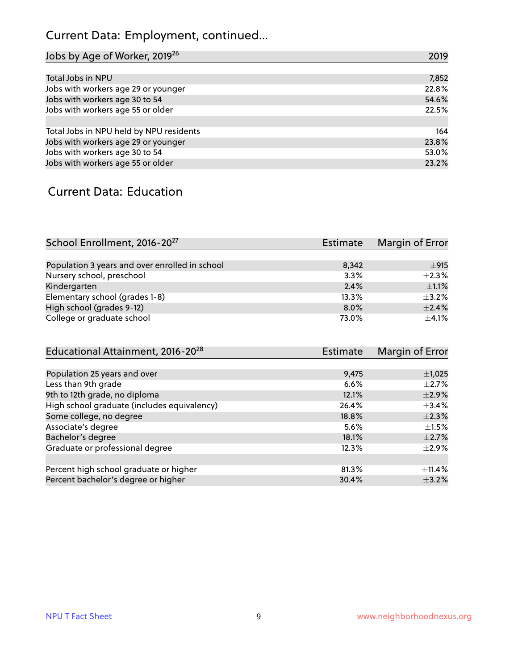## Current Data: Employment, continued...

| Jobs by Age of Worker, 2019 <sup>26</sup> | 2019  |
|-------------------------------------------|-------|
|                                           |       |
| Total Jobs in NPU                         | 7,852 |
| Jobs with workers age 29 or younger       | 22.8% |
| Jobs with workers age 30 to 54            | 54.6% |
| Jobs with workers age 55 or older         | 22.5% |
|                                           |       |
| Total Jobs in NPU held by NPU residents   | 164   |
| Jobs with workers age 29 or younger       | 23.8% |
| Jobs with workers age 30 to 54            | 53.0% |
| Jobs with workers age 55 or older         | 23.2% |

#### Current Data: Education

| School Enrollment, 2016-20 <sup>27</sup>       | Estimate | Margin of Error |
|------------------------------------------------|----------|-----------------|
|                                                |          |                 |
| Population 3 years and over enrolled in school | 8.342    | ±915            |
| Nursery school, preschool                      | 3.3%     | $\pm 2.3\%$     |
| Kindergarten                                   | 2.4%     | $\pm 1.1\%$     |
| Elementary school (grades 1-8)                 | 13.3%    | $\pm$ 3.2%      |
| High school (grades 9-12)                      | $8.0\%$  | $\pm$ 2.4%      |
| College or graduate school                     | 73.0%    | $\pm$ 4.1%      |

| Educational Attainment, 2016-20 <sup>28</sup> | <b>Estimate</b> | Margin of Error |
|-----------------------------------------------|-----------------|-----------------|
|                                               |                 |                 |
| Population 25 years and over                  | 9,475           | $\pm$ 1,025     |
| Less than 9th grade                           | 6.6%            | $\pm 2.7\%$     |
| 9th to 12th grade, no diploma                 | 12.1%           | $\pm 2.9\%$     |
| High school graduate (includes equivalency)   | 26.4%           | $\pm$ 3.4%      |
| Some college, no degree                       | 18.8%           | $\pm 2.3\%$     |
| Associate's degree                            | 5.6%            | $\pm 1.5\%$     |
| Bachelor's degree                             | 18.1%           | $\pm 2.7\%$     |
| Graduate or professional degree               | 12.3%           | $\pm 2.9\%$     |
|                                               |                 |                 |
| Percent high school graduate or higher        | 81.3%           | $\pm$ 11.4%     |
| Percent bachelor's degree or higher           | 30.4%           | $\pm$ 3.2%      |
|                                               |                 |                 |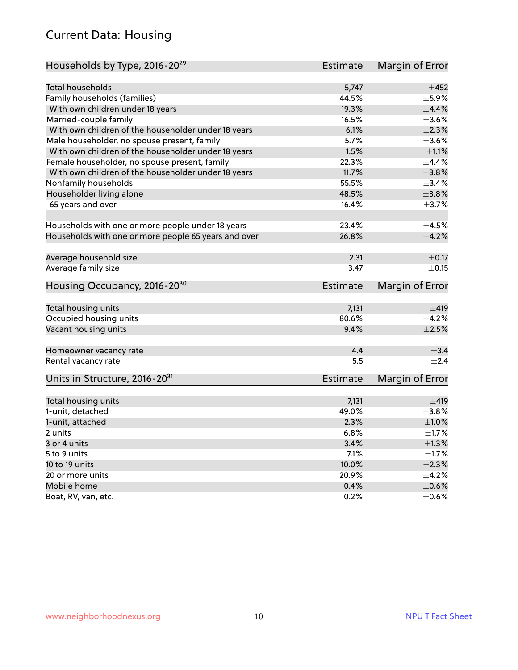#### Current Data: Housing

| Households by Type, 2016-20 <sup>29</sup>            | Estimate        | Margin of Error |
|------------------------------------------------------|-----------------|-----------------|
|                                                      |                 |                 |
| Total households                                     | 5,747           | $\pm 452$       |
| Family households (families)                         | 44.5%           | ±5.9%           |
| With own children under 18 years                     | 19.3%           | $\pm$ 4.4%      |
| Married-couple family                                | 16.5%           | $\pm 3.6\%$     |
| With own children of the householder under 18 years  | 6.1%            | $\pm 2.3\%$     |
| Male householder, no spouse present, family          | 5.7%            | $\pm 3.6\%$     |
| With own children of the householder under 18 years  | 1.5%            | $\pm 1.1\%$     |
| Female householder, no spouse present, family        | 22.3%           | $\pm$ 4.4%      |
| With own children of the householder under 18 years  | 11.7%           | ±3.8%           |
| Nonfamily households                                 | 55.5%           | $\pm$ 3.4%      |
| Householder living alone                             | 48.5%           | ±3.8%           |
| 65 years and over                                    | 16.4%           | ±3.7%           |
|                                                      |                 |                 |
| Households with one or more people under 18 years    | 23.4%           | $\pm 4.5\%$     |
| Households with one or more people 65 years and over | 26.8%           | $\pm$ 4.2%      |
| Average household size                               | 2.31            | $\pm$ 0.17      |
| Average family size                                  | 3.47            | $\pm$ 0.15      |
|                                                      |                 |                 |
| Housing Occupancy, 2016-20 <sup>30</sup>             | <b>Estimate</b> | Margin of Error |
| Total housing units                                  | 7,131           | ±419            |
| Occupied housing units                               | 80.6%           | $\pm$ 4.2%      |
| Vacant housing units                                 | 19.4%           | $\pm 2.5\%$     |
|                                                      |                 |                 |
| Homeowner vacancy rate                               | 4.4             | $\pm$ 3.4       |
| Rental vacancy rate                                  | 5.5             | $+2.4$          |
| Units in Structure, 2016-20 <sup>31</sup>            | <b>Estimate</b> | Margin of Error |
| Total housing units                                  | 7,131           | ±419            |
| 1-unit, detached                                     | 49.0%           | $\pm$ 3.8%      |
|                                                      |                 |                 |
| 1-unit, attached                                     | 2.3%            | $\pm1.0\%$      |
| 2 units                                              | 6.8%            | $\pm1.7\%$      |
| 3 or 4 units                                         | 3.4%            | $\pm 1.3\%$     |
| 5 to 9 units                                         | 7.1%            | $\pm 1.7\%$     |
| 10 to 19 units                                       | 10.0%           | $\pm 2.3\%$     |
| 20 or more units                                     | 20.9%           | $\pm$ 4.2%      |
| Mobile home                                          | 0.4%            | $\pm$ 0.6%      |
| Boat, RV, van, etc.                                  | 0.2%            | $\pm$ 0.6%      |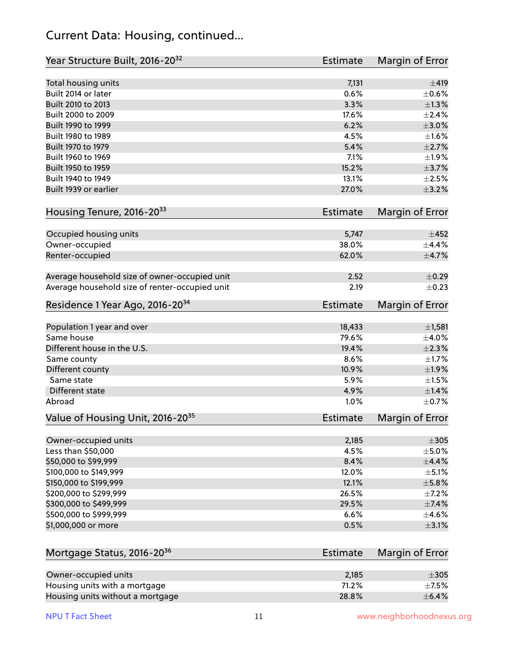#### Current Data: Housing, continued...

| Year Structure Built, 2016-20 <sup>32</sup>    | Estimate        | Margin of Error        |
|------------------------------------------------|-----------------|------------------------|
| Total housing units                            | 7,131           | ±419                   |
| Built 2014 or later                            | 0.6%            | $\pm$ 0.6%             |
| Built 2010 to 2013                             | 3.3%            | $\pm 1.3\%$            |
| Built 2000 to 2009                             | 17.6%           | $\pm 2.4\%$            |
| Built 1990 to 1999                             | 6.2%            | $\pm 3.0\%$            |
| Built 1980 to 1989                             | 4.5%            | $\pm1.6\%$             |
| Built 1970 to 1979                             | 5.4%            | $\pm 2.7\%$            |
| Built 1960 to 1969                             | 7.1%            | ±1.9%                  |
| Built 1950 to 1959                             | 15.2%           | $\pm$ 3.7%             |
| Built 1940 to 1949                             | 13.1%           | $\pm 2.5\%$            |
| Built 1939 or earlier                          | 27.0%           | $\pm$ 3.2%             |
| Housing Tenure, 2016-2033                      | Estimate        | Margin of Error        |
| Occupied housing units                         | 5,747           | $\pm 452$              |
| Owner-occupied                                 | 38.0%           | $\pm$ 4.4%             |
| Renter-occupied                                | 62.0%           | ±4.7%                  |
| Average household size of owner-occupied unit  | 2.52            | $\pm$ 0.29             |
| Average household size of renter-occupied unit | 2.19            | $\pm$ 0.23             |
| Residence 1 Year Ago, 2016-20 <sup>34</sup>    | <b>Estimate</b> | <b>Margin of Error</b> |
| Population 1 year and over                     | 18,433          | $\pm$ 1,581            |
| Same house                                     | 79.6%           | $\pm 4.0\%$            |
| Different house in the U.S.                    | 19.4%           | $\pm 2.3\%$            |
| Same county                                    | 8.6%            | $\pm1.7\%$             |
| Different county                               | 10.9%           | ±1.9%                  |
| Same state                                     | 5.9%            | $\pm1.5\%$             |
| Different state                                | 4.9%            | $\pm$ 1.4%             |
| Abroad                                         | 1.0%            | $\pm$ 0.7%             |
| Value of Housing Unit, 2016-20 <sup>35</sup>   | Estimate        | Margin of Error        |
| Owner-occupied units                           | 2,185           | $\pm 305$              |
| Less than \$50,000                             | 4.5%            | $\pm$ 5.0%             |
| \$50,000 to \$99,999                           | 8.4%            | $\pm$ 4.4%             |
| \$100,000 to \$149,999                         | 12.0%           | $\pm$ 5.1%             |
| \$150,000 to \$199,999                         | 12.1%           | $\pm$ 5.8%             |
| \$200,000 to \$299,999                         | 26.5%           | $\pm$ 7.2%             |
| \$300,000 to \$499,999                         | 29.5%           | $\pm$ 7.4%             |
| \$500,000 to \$999,999                         | 6.6%            | $\pm$ 4.6%             |
| \$1,000,000 or more                            | 0.5%            | $\pm$ 3.1%             |
| Mortgage Status, 2016-20 <sup>36</sup>         | <b>Estimate</b> | <b>Margin of Error</b> |
| Owner-occupied units                           | 2,185           | $\pm 305$              |
| Housing units with a mortgage                  | 71.2%           | $\pm$ 7.5%             |

Housing units without a mortgage  $\pm 6.4\%$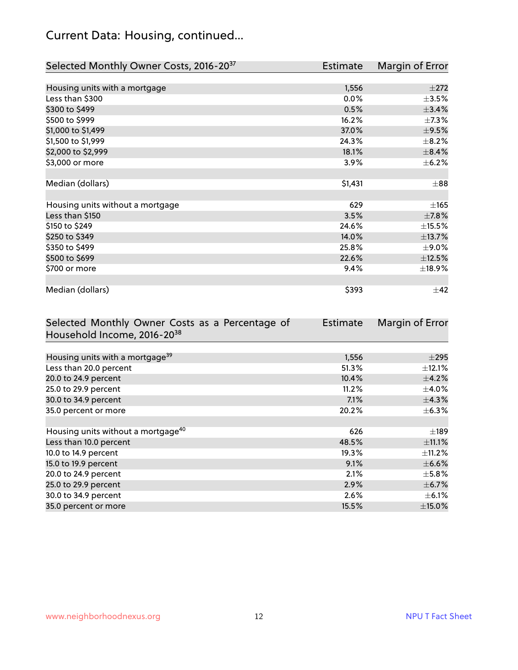## Current Data: Housing, continued...

| Selected Monthly Owner Costs, 2016-20 <sup>37</sup> | Estimate | Margin of Error |
|-----------------------------------------------------|----------|-----------------|
|                                                     |          |                 |
| Housing units with a mortgage                       | 1,556    | $\pm 272$       |
| Less than \$300                                     | 0.0%     | $\pm$ 3.5%      |
| \$300 to \$499                                      | 0.5%     | ±3.4%           |
| \$500 to \$999                                      | 16.2%    | $\pm$ 7.3%      |
| \$1,000 to \$1,499                                  | 37.0%    | $\pm$ 9.5%      |
| \$1,500 to \$1,999                                  | 24.3%    | $\pm$ 8.2%      |
| \$2,000 to \$2,999                                  | 18.1%    | $\pm$ 8.4%      |
| \$3,000 or more                                     | 3.9%     | $\pm$ 6.2%      |
|                                                     |          |                 |
| Median (dollars)                                    | \$1,431  | $\pm$ 88        |
|                                                     |          |                 |
| Housing units without a mortgage                    | 629      | $\pm 165$       |
| Less than \$150                                     | 3.5%     | $\pm$ 7.8%      |
| \$150 to \$249                                      | 24.6%    | $\pm$ 15.5%     |
| \$250 to \$349                                      | 14.0%    | ±13.7%          |
| \$350 to \$499                                      | 25.8%    | $\pm$ 9.0%      |
| \$500 to \$699                                      | 22.6%    | ±12.5%          |
| \$700 or more                                       | 9.4%     | ±18.9%          |
|                                                     |          |                 |
| Median (dollars)                                    | \$393    | $\pm$ 42        |

| Selected Monthly Owner Costs as a Percentage of | <b>Estimate</b> | Margin of Error |
|-------------------------------------------------|-----------------|-----------------|
| Household Income, 2016-20 <sup>38</sup>         |                 |                 |
|                                                 |                 |                 |
| Housing units with a mortgage <sup>39</sup>     | 1,556           | $\pm 295$       |
| Less than 20.0 percent                          | 51.3%           | $\pm$ 12.1%     |
| 20.0 to 24.9 percent                            | 10.4%           | $\pm$ 4.2%      |
| 25.0 to 29.9 percent                            | 11.2%           | $\pm$ 4.0%      |
| 30.0 to 34.9 percent                            | 7.1%            | $\pm$ 4.3%      |
| 35.0 percent or more                            | 20.2%           | $\pm$ 6.3%      |
|                                                 |                 |                 |
| Housing units without a mortgage <sup>40</sup>  | 626             | $\pm$ 189       |
| Less than 10.0 percent                          | 48.5%           | $\pm$ 11.1%     |
| 10.0 to 14.9 percent                            | 19.3%           | $\pm$ 11.2%     |
| 15.0 to 19.9 percent                            | 9.1%            | $\pm$ 6.6%      |
| 20.0 to 24.9 percent                            | 2.1%            | $\pm$ 5.8%      |
| 25.0 to 29.9 percent                            | 2.9%            | $\pm$ 6.7%      |
| 30.0 to 34.9 percent                            | 2.6%            | $\pm$ 6.1%      |
| 35.0 percent or more                            | 15.5%           | $\pm$ 15.0%     |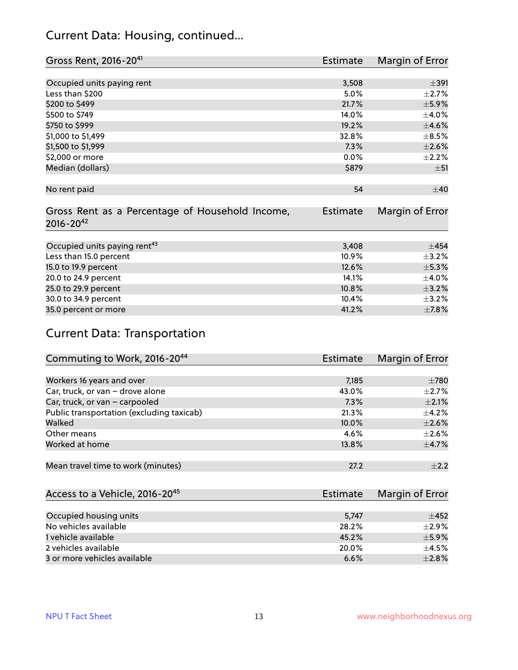#### Current Data: Housing, continued...

| Gross Rent, 2016-20 <sup>41</sup>               | Estimate        | Margin of Error |
|-------------------------------------------------|-----------------|-----------------|
|                                                 |                 |                 |
| Occupied units paying rent                      | 3,508           | $\pm$ 391       |
| Less than \$200                                 | 5.0%            | $\pm 2.7\%$     |
| \$200 to \$499                                  | 21.7%           | $\pm$ 5.9%      |
| \$500 to \$749                                  | 14.0%           | $\pm$ 4.0%      |
| \$750 to \$999                                  | 19.2%           | $\pm 4.6\%$     |
| \$1,000 to \$1,499                              | 32.8%           | $\pm$ 8.5%      |
| \$1,500 to \$1,999                              | 7.3%            | $\pm 2.6\%$     |
| \$2,000 or more                                 | 0.0%            | $\pm 2.2\%$     |
| Median (dollars)                                | \$879           | ±51             |
|                                                 |                 |                 |
| No rent paid                                    | 54              | ±40             |
|                                                 |                 |                 |
| Gross Rent as a Percentage of Household Income, | <b>Estimate</b> | Margin of Error |
| $2016 - 20^{42}$                                |                 |                 |
|                                                 |                 |                 |
| Occupied units paying rent <sup>43</sup>        | 3,408           | $\pm 454$       |
| Less than 15.0 percent                          | 10.9%           | $\pm$ 3.2%      |
| 15.0 to 19.9 percent                            | 12.6%           | $\pm$ 5.3%      |
| 20.0 to 24.9 percent                            | 14.1%           | $\pm$ 4.0%      |
| 25.0 to 29.9 percent                            | 10.8%           | $\pm$ 3.2%      |
| 30.0 to 34.9 percent                            | 10.4%           | $\pm$ 3.2%      |
| 35.0 percent or more                            | 41.2%           | $\pm$ 7.8%      |

## Current Data: Transportation

| Commuting to Work, 2016-20 <sup>44</sup>  | Estimate | Margin of Error |
|-------------------------------------------|----------|-----------------|
|                                           |          |                 |
| Workers 16 years and over                 | 7,185    | $\pm 780$       |
| Car, truck, or van - drove alone          | 43.0%    | $\pm 2.7\%$     |
| Car, truck, or van - carpooled            | 7.3%     | $\pm 2.1\%$     |
| Public transportation (excluding taxicab) | 21.3%    | $\pm$ 4.2%      |
| Walked                                    | 10.0%    | $\pm 2.6\%$     |
| Other means                               | 4.6%     | $\pm 2.6\%$     |
| Worked at home                            | 13.8%    | $\pm$ 4.7%      |
| Mean travel time to work (minutes)        | 27.2     | $+2.2$          |

| Access to a Vehicle, 2016-20 <sup>45</sup> |       | Estimate Margin of Error |
|--------------------------------------------|-------|--------------------------|
|                                            |       |                          |
| Occupied housing units                     | 5.747 | $+452$                   |
| No vehicles available                      | 28.2% | $+2.9%$                  |
| 1 vehicle available                        | 45.2% | $\pm$ 5.9%               |
| 2 vehicles available                       | 20.0% | $\pm$ 4.5%               |
| 3 or more vehicles available               | 6.6%  | $\pm 2.8\%$              |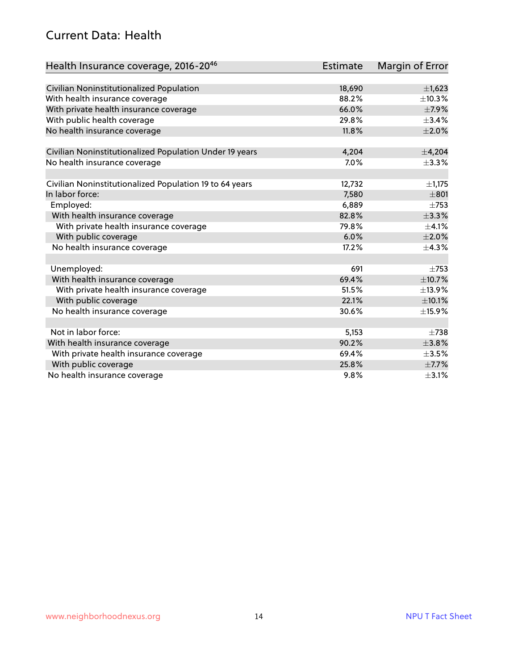#### Current Data: Health

| Health Insurance coverage, 2016-2046                    | <b>Estimate</b> | Margin of Error |
|---------------------------------------------------------|-----------------|-----------------|
|                                                         |                 |                 |
| Civilian Noninstitutionalized Population                | 18,690          | $\pm$ 1,623     |
| With health insurance coverage                          | 88.2%           | $\pm$ 10.3%     |
| With private health insurance coverage                  | 66.0%           | $\pm$ 7.9%      |
| With public health coverage                             | 29.8%           | $\pm$ 3.4%      |
| No health insurance coverage                            | 11.8%           | $\pm 2.0\%$     |
| Civilian Noninstitutionalized Population Under 19 years | 4,204           | ±4,204          |
| No health insurance coverage                            | 7.0%            | ±3.3%           |
|                                                         |                 |                 |
| Civilian Noninstitutionalized Population 19 to 64 years | 12,732          | $\pm 1,175$     |
| In labor force:                                         | 7,580           | $\pm 801$       |
| Employed:                                               | 6,889           | $\pm 753$       |
| With health insurance coverage                          | 82.8%           | ±3.3%           |
| With private health insurance coverage                  | 79.8%           | $\pm 4.1\%$     |
| With public coverage                                    | 6.0%            | $\pm 2.0\%$     |
| No health insurance coverage                            | 17.2%           | ±4.3%           |
|                                                         |                 |                 |
| Unemployed:                                             | 691             | $\pm 753$       |
| With health insurance coverage                          | 69.4%           | ±10.7%          |
| With private health insurance coverage                  | 51.5%           | ±13.9%          |
| With public coverage                                    | 22.1%           | $\pm$ 10.1%     |
| No health insurance coverage                            | 30.6%           | ±15.9%          |
|                                                         |                 |                 |
| Not in labor force:                                     | 5,153           | $\pm 738$       |
| With health insurance coverage                          | 90.2%           | ±3.8%           |
| With private health insurance coverage                  | 69.4%           | $\pm 3.5\%$     |
| With public coverage                                    | 25.8%           | $\pm$ 7.7%      |
| No health insurance coverage                            | 9.8%            | $\pm$ 3.1%      |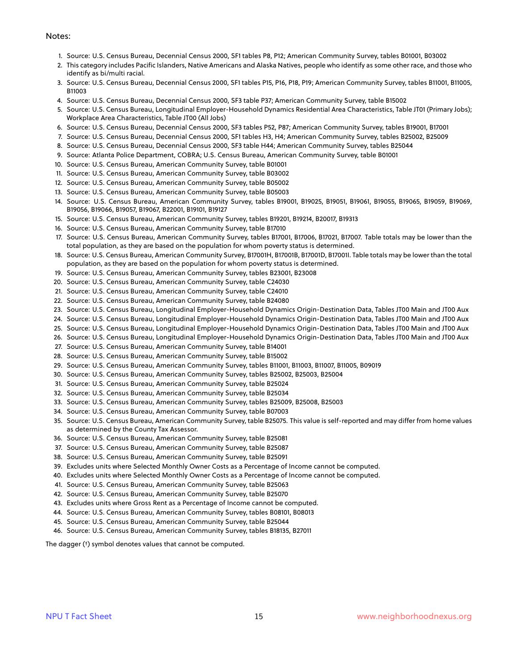#### Notes:

- 1. Source: U.S. Census Bureau, Decennial Census 2000, SF1 tables P8, P12; American Community Survey, tables B01001, B03002
- 2. This category includes Pacific Islanders, Native Americans and Alaska Natives, people who identify as some other race, and those who identify as bi/multi racial.
- 3. Source: U.S. Census Bureau, Decennial Census 2000, SF1 tables P15, P16, P18, P19; American Community Survey, tables B11001, B11005, B11003
- 4. Source: U.S. Census Bureau, Decennial Census 2000, SF3 table P37; American Community Survey, table B15002
- 5. Source: U.S. Census Bureau, Longitudinal Employer-Household Dynamics Residential Area Characteristics, Table JT01 (Primary Jobs); Workplace Area Characteristics, Table JT00 (All Jobs)
- 6. Source: U.S. Census Bureau, Decennial Census 2000, SF3 tables P52, P87; American Community Survey, tables B19001, B17001
- 7. Source: U.S. Census Bureau, Decennial Census 2000, SF1 tables H3, H4; American Community Survey, tables B25002, B25009
- 8. Source: U.S. Census Bureau, Decennial Census 2000, SF3 table H44; American Community Survey, tables B25044
- 9. Source: Atlanta Police Department, COBRA; U.S. Census Bureau, American Community Survey, table B01001
- 10. Source: U.S. Census Bureau, American Community Survey, table B01001
- 11. Source: U.S. Census Bureau, American Community Survey, table B03002
- 12. Source: U.S. Census Bureau, American Community Survey, table B05002
- 13. Source: U.S. Census Bureau, American Community Survey, table B05003
- 14. Source: U.S. Census Bureau, American Community Survey, tables B19001, B19025, B19051, B19061, B19055, B19065, B19059, B19069, B19056, B19066, B19057, B19067, B22001, B19101, B19127
- 15. Source: U.S. Census Bureau, American Community Survey, tables B19201, B19214, B20017, B19313
- 16. Source: U.S. Census Bureau, American Community Survey, table B17010
- 17. Source: U.S. Census Bureau, American Community Survey, tables B17001, B17006, B17021, B17007. Table totals may be lower than the total population, as they are based on the population for whom poverty status is determined.
- 18. Source: U.S. Census Bureau, American Community Survey, B17001H, B17001B, B17001D, B17001I. Table totals may be lower than the total population, as they are based on the population for whom poverty status is determined.
- 19. Source: U.S. Census Bureau, American Community Survey, tables B23001, B23008
- 20. Source: U.S. Census Bureau, American Community Survey, table C24030
- 21. Source: U.S. Census Bureau, American Community Survey, table C24010
- 22. Source: U.S. Census Bureau, American Community Survey, table B24080
- 23. Source: U.S. Census Bureau, Longitudinal Employer-Household Dynamics Origin-Destination Data, Tables JT00 Main and JT00 Aux
- 24. Source: U.S. Census Bureau, Longitudinal Employer-Household Dynamics Origin-Destination Data, Tables JT00 Main and JT00 Aux
- 25. Source: U.S. Census Bureau, Longitudinal Employer-Household Dynamics Origin-Destination Data, Tables JT00 Main and JT00 Aux
- 26. Source: U.S. Census Bureau, Longitudinal Employer-Household Dynamics Origin-Destination Data, Tables JT00 Main and JT00 Aux
- 27. Source: U.S. Census Bureau, American Community Survey, table B14001
- 28. Source: U.S. Census Bureau, American Community Survey, table B15002
- 29. Source: U.S. Census Bureau, American Community Survey, tables B11001, B11003, B11007, B11005, B09019
- 30. Source: U.S. Census Bureau, American Community Survey, tables B25002, B25003, B25004
- 31. Source: U.S. Census Bureau, American Community Survey, table B25024
- 32. Source: U.S. Census Bureau, American Community Survey, table B25034
- 33. Source: U.S. Census Bureau, American Community Survey, tables B25009, B25008, B25003
- 34. Source: U.S. Census Bureau, American Community Survey, table B07003
- 35. Source: U.S. Census Bureau, American Community Survey, table B25075. This value is self-reported and may differ from home values as determined by the County Tax Assessor.
- 36. Source: U.S. Census Bureau, American Community Survey, table B25081
- 37. Source: U.S. Census Bureau, American Community Survey, table B25087
- 38. Source: U.S. Census Bureau, American Community Survey, table B25091
- 39. Excludes units where Selected Monthly Owner Costs as a Percentage of Income cannot be computed.
- 40. Excludes units where Selected Monthly Owner Costs as a Percentage of Income cannot be computed.
- 41. Source: U.S. Census Bureau, American Community Survey, table B25063
- 42. Source: U.S. Census Bureau, American Community Survey, table B25070
- 43. Excludes units where Gross Rent as a Percentage of Income cannot be computed.
- 44. Source: U.S. Census Bureau, American Community Survey, tables B08101, B08013
- 45. Source: U.S. Census Bureau, American Community Survey, table B25044
- 46. Source: U.S. Census Bureau, American Community Survey, tables B18135, B27011

The dagger (†) symbol denotes values that cannot be computed.